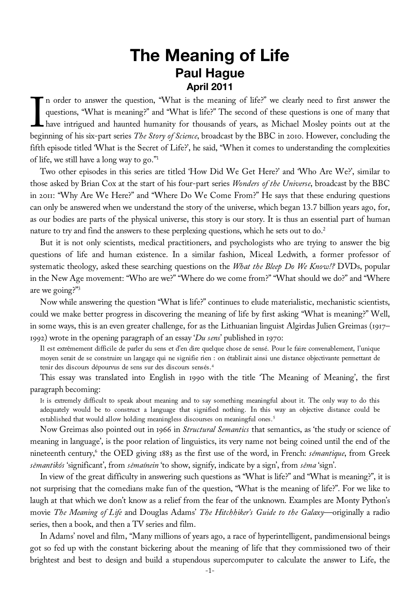# **The Meaning of Life Paul Hague April 2011**

In order to answer the question, "What is the meaning of life?" we clearly need to first answer the questions, "What is meaning?" and "What is life?" The second of these questions is one of many that have intrigued and hau questions, "What is meaning?" and "What is life?" The second of these questions is one of many that have intrigued and haunted humanity for thousands of years, as Michael Mosley points out at the beginning of his six-part series *The Story of Science*, broadcast by the BBC in 2010. However, concluding the fifth episode titled 'What is the Secret of Life?', he said, "When it comes to understanding the complexities of life, we still have a long way to go."1

Two other episodes in this series are titled 'How Did We Get Here?' and 'Who Are We?', similar to those asked by Brian Cox at the start of his four-part series *Wonders of the Universe*, broadcast by the BBC in 2011: "Why Are We Here?" and "Where Do We Come From?" He says that these enduring questions can only be answered when we understand the story of the universe, which began 13.7 billion years ago, for, as our bodies are parts of the physical universe, this story is our story. It is thus an essential part of human nature to try and find the answers to these perplexing questions, which he sets out to do.<sup>2</sup>

But it is not only scientists, medical practitioners, and psychologists who are trying to answer the big questions of life and human existence. In a similar fashion, Miceal Ledwith, a former professor of systematic theology, asked these searching questions on the *What the Bleep Do We Know!?* DVDs, popular in the New Age movement: "Who are we?" "Where do we come from?" "What should we do?" and "Where are we going?"3

Now while answering the question "What is life?" continues to elude materialistic, mechanistic scientists, could we make better progress in discovering the meaning of life by first asking "What is meaning?" Well, in some ways, this is an even greater challenge, for as the Lithuanian linguist Algirdas Julien Greimas (1917– 1992) wrote in the opening paragraph of an essay '*Du sens*' published in 1970:

Il est extrêmement difficile de parler du sens et d'en dire quelque chose de sensé. Pour le faire convenablement, l'unique moyen serait de se construire un langage qui ne signifie rien : on établirait ainsi une distance objectivante permettant de tenir des discours dépourvus de sens sur des discours sensés.4

This essay was translated into English in 1990 with the title 'The Meaning of Meaning', the first paragraph becoming:

It is extremely difficult to speak about meaning and to say something meaningful about it. The only way to do this adequately would be to construct a language that signified nothing. In this way an objective distance could be established that would allow holding meaningless discourses on meaningful ones.<sup>5</sup>

Now Greimas also pointed out in 1966 in *Structural Semantics* that semantics, as 'the study or science of meaning in language', is the poor relation of linguistics, its very name not being coined until the end of the nineteenth century,6 the OED giving 1883 as the first use of the word, in French: *sémantique*, from Greek *sēmantikós* 'significant', from *sēmaínein* 'to show, signify, indicate by a sign', from *sêma* 'sign'.

In view of the great difficulty in answering such questions as "What is life?" and "What is meaning?", it is not surprising that the comedians make fun of the question, "What is the meaning of life?". For we like to laugh at that which we don't know as a relief from the fear of the unknown. Examples are Monty Python's movie *The Meaning of Life* and Douglas Adams' *The Hitchhiker's Guide to the Galaxy*—originally a radio series, then a book, and then a TV series and film.

In Adams' novel and film, "Many millions of years ago, a race of hyperintelligent, pandimensional beings got so fed up with the constant bickering about the meaning of life that they commissioned two of their brightest and best to design and build a stupendous supercomputer to calculate the answer to Life, the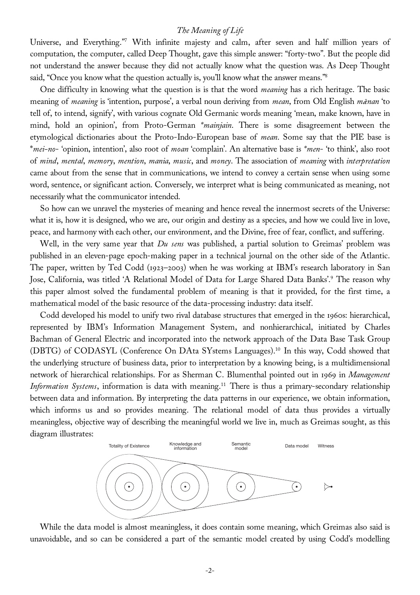Universe, and Everything."7 With infinite majesty and calm, after seven and half million years of computation, the computer, called Deep Thought, gave this simple answer: "forty-two". But the people did not understand the answer because they did not actually know what the question was. As Deep Thought said, "Once you know what the question actually is, you'll know what the answer means."<sup>8</sup>

One difficulty in knowing what the question is is that the word *meaning* has a rich heritage. The basic meaning of *meaning* is 'intention, purpose', a verbal noun deriving from *mean*, from Old English *m*æ*nan* 'to tell of, to intend, signify', with various cognate Old Germanic words meaning 'mean, make known, have in mind, hold an opinion', from Proto-German *\*mainjain*. There is some disagreement between the etymological dictionaries about the Proto-Indo-European base of *mean*. Some say that the PIE base is \**mei-no*- 'opinion, intention', also root of *moan* 'complain'. An alternative base is *\*men*- 'to think', also root of *mind*, *mental*, *memory*, *mention*, *mania*, *music*, and *money*. The association of *meaning* with *interpretation* came about from the sense that in communications, we intend to convey a certain sense when using some word, sentence, or significant action. Conversely, we interpret what is being communicated as meaning, not necessarily what the communicator intended.

So how can we unravel the mysteries of meaning and hence reveal the innermost secrets of the Universe: what it is, how it is designed, who we are, our origin and destiny as a species, and how we could live in love, peace, and harmony with each other, our environment, and the Divine, free of fear, conflict, and suffering.

Well, in the very same year that *Du sens* was published, a partial solution to Greimas' problem was published in an eleven-page epoch-making paper in a technical journal on the other side of the Atlantic. The paper, written by Ted Codd (1923–2003) when he was working at IBM's research laboratory in San Jose, California, was titled 'A Relational Model of Data for Large Shared Data Banks'.9 The reason why this paper almost solved the fundamental problem of meaning is that it provided, for the first time, a mathematical model of the basic resource of the data-processing industry: data itself.

Codd developed his model to unify two rival database structures that emerged in the 1960s: hierarchical, represented by IBM's Information Management System, and nonhierarchical, initiated by Charles Bachman of General Electric and incorporated into the network approach of the Data Base Task Group (DBTG) of CODASYL (Conference On DAta SYstems Languages).10 In this way, Codd showed that the underlying structure of business data, prior to interpretation by a knowing being, is a multidimensional network of hierarchical relationships. For as Sherman C. Blumenthal pointed out in 1969 in *Management Information Systems*, information is data with meaning.<sup>11</sup> There is thus a primary-secondary relationship between data and information. By interpreting the data patterns in our experience, we obtain information, which informs us and so provides meaning. The relational model of data thus provides a virtually meaningless, objective way of describing the meaningful world we live in, much as Greimas sought, as this diagram illustrates:



While the data model is almost meaningless, it does contain some meaning, which Greimas also said is unavoidable, and so can be considered a part of the semantic model created by using Codd's modelling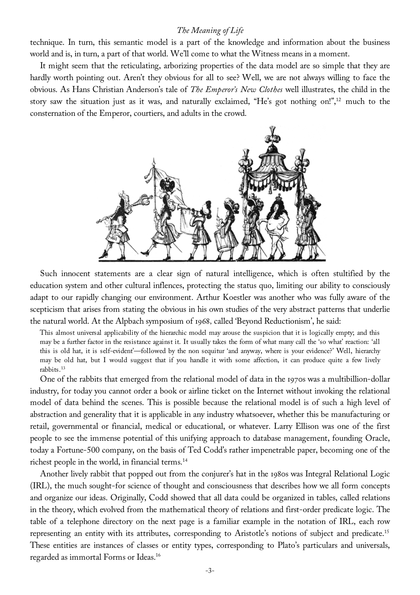technique. In turn, this semantic model is a part of the knowledge and information about the business world and is, in turn, a part of that world. We'll come to what the Witness means in a moment.

It might seem that the reticulating, arborizing properties of the data model are so simple that they are hardly worth pointing out. Aren't they obvious for all to see? Well, we are not always willing to face the obvious. As Hans Christian Anderson's tale of *The Emperor's New Clothes* well illustrates, the child in the story saw the situation just as it was, and naturally exclaimed, "He's got nothing on!",12 much to the consternation of the Emperor, courtiers, and adults in the crowd.



Such innocent statements are a clear sign of natural intelligence, which is often stultified by the education system and other cultural inflences, protecting the status quo, limiting our ability to consciously adapt to our rapidly changing our environment. Arthur Koestler was another who was fully aware of the scepticism that arises from stating the obvious in his own studies of the very abstract patterns that underlie the natural world. At the Alpbach symposium of 1968, called 'Beyond Reductionism', he said:

This almost universal applicability of the hierarchic model may arouse the suspicion that it is logically empty; and this may be a further factor in the resistance against it. It usually takes the form of what many call the 'so what' reaction: 'all this is old hat, it is self-evident'—followed by the non sequitur 'and anyway, where is your evidence?' Well, hierarchy may be old hat, but I would suggest that if you handle it with some affection, it can produce quite a few lively rabbits.13

One of the rabbits that emerged from the relational model of data in the 1970s was a multibillion-dollar industry, for today you cannot order a book or airline ticket on the Internet without invoking the relational model of data behind the scenes. This is possible because the relational model is of such a high level of abstraction and generality that it is applicable in any industry whatsoever, whether this be manufacturing or retail, governmental or financial, medical or educational, or whatever. Larry Ellison was one of the first people to see the immense potential of this unifying approach to database management, founding Oracle, today a Fortune-500 company, on the basis of Ted Codd's rather impenetrable paper, becoming one of the richest people in the world, in financial terms.14

Another lively rabbit that popped out from the conjurer's hat in the 1980s was Integral Relational Logic (IRL), the much sought-for science of thought and consciousness that describes how we all form concepts and organize our ideas. Originally, Codd showed that all data could be organized in tables, called relations in the theory, which evolved from the mathematical theory of relations and first-order predicate logic. The table of a telephone directory on the next page is a familiar example in the notation of IRL, each row representing an entity with its attributes, corresponding to Aristotle's notions of subject and predicate.15 These entities are instances of classes or entity types, corresponding to Plato's particulars and universals, regarded as immortal Forms or Ideas.16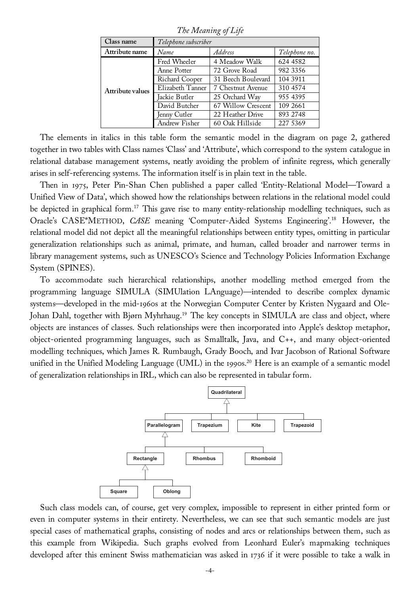*The Meaning of Life* 

| Class name       | Telephone subscriber |                    |               |
|------------------|----------------------|--------------------|---------------|
| Attribute name   | Name                 | <b>Address</b>     | Telephone no. |
| Attribute values | Fred Wheeler         | 4 Meadow Walk      | 624 4582      |
|                  | Anne Potter          | 72 Grove Road      | 982 3356      |
|                  | Richard Cooper       | 31 Beech Boulevard | 104 3911      |
|                  | Elizabeth Tanner     | 7 Chestnut Avenue  | 310 4574      |
|                  | Jackie Butler        | 25 Orchard Way     | 955 4395      |
|                  | David Butcher        | 67 Willow Crescent | 109 2661      |
|                  | Jenny Cutler         | 22 Heather Drive   | 893 2748      |
|                  | Andrew Fisher        | 60 Oak Hillside    | 227 5369      |

The elements in italics in this table form the semantic model in the diagram on page 2, gathered together in two tables with Class names 'Class' and 'Attribute', which correspond to the system catalogue in relational database management systems, neatly avoiding the problem of infinite regress, which generally arises in self-referencing systems. The information itself is in plain text in the table.

Then in 1975, Peter Pin-Shan Chen published a paper called 'Entity-Relational Model—Toward a Unified View of Data', which showed how the relationships between relations in the relational model could be depicted in graphical form.<sup>17</sup> This gave rise to many entity-relationship modelling techniques, such as Oracle's CASE\*METHOD, *CASE* meaning 'Computer-Aided Systems Engineering'.18 However, the relational model did not depict all the meaningful relationships between entity types, omitting in particular generalization relationships such as animal, primate, and human, called broader and narrower terms in library management systems, such as UNESCO's Science and Technology Policies Information Exchange System (SPINES).

To accommodate such hierarchical relationships, another modelling method emerged from the programming language SIMULA (SIMUlation LAnguage)—intended to describe complex dynamic systems—developed in the mid-1960s at the Norwegian Computer Center by Kristen Nygaard and Ole-Johan Dahl, together with Bjørn Myhrhaug.<sup>19</sup> The key concepts in SIMULA are class and object, where objects are instances of classes. Such relationships were then incorporated into Apple's desktop metaphor, object-oriented programming languages, such as Smalltalk, Java, and C++, and many object-oriented modelling techniques, which James R. Rumbaugh, Grady Booch, and Ivar Jacobson of Rational Software unified in the Unified Modeling Language (UML) in the 1990s.<sup>20</sup> Here is an example of a semantic model of generalization relationships in IRL, which can also be represented in tabular form.



Such class models can, of course, get very complex, impossible to represent in either printed form or even in computer systems in their entirety. Nevertheless, we can see that such semantic models are just special cases of mathematical graphs, consisting of nodes and arcs or relationships between them, such as this example from Wikipedia. Such graphs evolved from Leonhard Euler's mapmaking techniques developed after this eminent Swiss mathematician was asked in 1736 if it were possible to take a walk in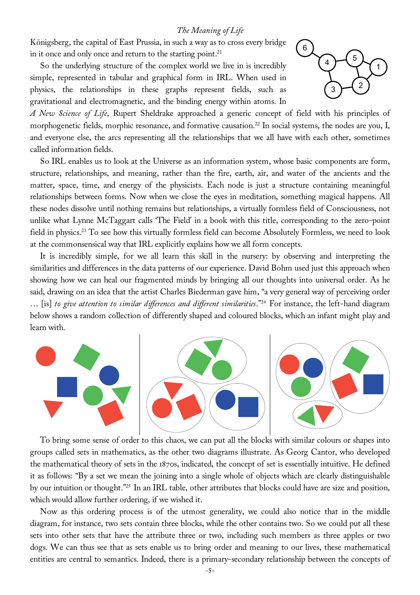Königsberg, the capital of East Prussia, in such a way as to cross every bridge in it once and only once and return to the starting point.<sup>21</sup>

So the underlying structure of the complex world we live in is incredibly simple, represented in tabular and graphical form in IRL. When used in physics, the relationships in these graphs represent fields, such as gravitational and electromagnetic, and the binding energy within atoms. In



*A New Science of Life*, Rupert Sheldrake approached a generic concept of field with his principles of morphogenetic fields, morphic resonance, and formative causation.<sup>22</sup> In social systems, the nodes are you, I, and everyone else, the arcs representing all the relationships that we all have with each other, sometimes called information fields.

So IRL enables us to look at the Universe as an information system, whose basic components are form, structure, relationships, and meaning, rather than the fire, earth, air, and water of the ancients and the matter, space, time, and energy of the physicists. Each node is just a structure containing meaningful relationships between forms. Now when we close the eyes in meditation, something magical happens. All these nodes dissolve until nothing remains but relationships, a virtually formless field of Consciousness, not unlike what Lynne McTaggart calls 'The Field' in a book with this title, corresponding to the zero-point field in physics.23 To see how this virtually formless field can become Absolutely Formless, we need to look at the commonsensical way that IRL explicitly explains how we all form concepts.

It is incredibly simple, for we all learn this skill in the nursery: by observing and interpreting the similarities and differences in the data patterns of our experience. David Bohm used just this approach when showing how we can heal our fragmented minds by bringing all our thoughts into universal order. As he said, drawing on an idea that the artist Charles Biederman gave him, "a very general way of perceiving order … [is] *to give attention to similar differences and different similarities*."24 For instance, the left-hand diagram below shows a random collection of differently shaped and coloured blocks, which an infant might play and learn with.



To bring some sense of order to this chaos, we can put all the blocks with similar colours or shapes into groups called sets in mathematics, as the other two diagrams illustrate. As Georg Cantor, who developed the mathematical theory of sets in the 1870s, indicated, the concept of set is essentially intuitive. He defined it as follows: "By a set we mean the joining into a single whole of objects which are clearly distinguishable by our intuition or thought."25 In an IRL table, other attributes that blocks could have are size and position, which would allow further ordering, if we wished it.

Now as this ordering process is of the utmost generality, we could also notice that in the middle diagram, for instance, two sets contain three blocks, while the other contains two. So we could put all these sets into other sets that have the attribute three or two, including such members as three apples or two dogs. We can thus see that as sets enable us to bring order and meaning to our lives, these mathematical entities are central to semantics. Indeed, there is a primary-secondary relationship between the concepts of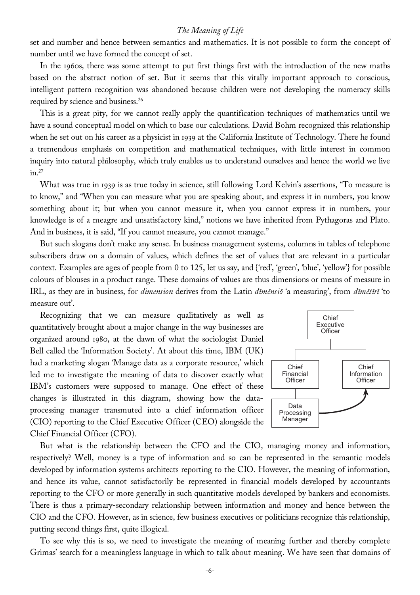set and number and hence between semantics and mathematics. It is not possible to form the concept of number until we have formed the concept of set.

In the 1960s, there was some attempt to put first things first with the introduction of the new maths based on the abstract notion of set. But it seems that this vitally important approach to conscious, intelligent pattern recognition was abandoned because children were not developing the numeracy skills required by science and business.26

This is a great pity, for we cannot really apply the quantification techniques of mathematics until we have a sound conceptual model on which to base our calculations. David Bohm recognized this relationship when he set out on his career as a physicist in 1939 at the California Institute of Technology. There he found a tremendous emphasis on competition and mathematical techniques, with little interest in common inquiry into natural philosophy, which truly enables us to understand ourselves and hence the world we live  $in.<sup>27</sup>$ 

What was true in 1939 is as true today in science, still following Lord Kelvin's assertions, "To measure is to know," and "When you can measure what you are speaking about, and express it in numbers, you know something about it; but when you cannot measure it, when you cannot express it in numbers, your knowledge is of a meagre and unsatisfactory kind," notions we have inherited from Pythagoras and Plato. And in business, it is said, "If you cannot measure, you cannot manage."

But such slogans don't make any sense. In business management systems, columns in tables of telephone subscribers draw on a domain of values, which defines the set of values that are relevant in a particular context. Examples are ages of people from 0 to 125, let us say, and {'red', 'green', 'blue', 'yellow'} for possible colours of blouses in a product range. These domains of values are thus dimensions or means of measure in IRL, as they are in business, for *dimension* derives from the Latin *dīmēnsiō* 'a measuring', from *dīmētīrī* 'to measure out'.

Recognizing that we can measure qualitatively as well as quantitatively brought about a major change in the way businesses are organized around 1980, at the dawn of what the sociologist Daniel Bell called the 'Information Society'. At about this time, IBM (UK) had a marketing slogan 'Manage data as a corporate resource,' which led me to investigate the meaning of data to discover exactly what IBM's customers were supposed to manage. One effect of these changes is illustrated in this diagram, showing how the dataprocessing manager transmuted into a chief information officer (CIO) reporting to the Chief Executive Officer (CEO) alongside the Chief Financial Officer (CFO).



But what is the relationship between the CFO and the CIO, managing money and information, respectively? Well, money is a type of information and so can be represented in the semantic models developed by information systems architects reporting to the CIO. However, the meaning of information, and hence its value, cannot satisfactorily be represented in financial models developed by accountants reporting to the CFO or more generally in such quantitative models developed by bankers and economists. There is thus a primary-secondary relationship between information and money and hence between the CIO and the CFO. However, as in science, few business executives or politicians recognize this relationship, putting second things first, quite illogical.

To see why this is so, we need to investigate the meaning of meaning further and thereby complete Grimas' search for a meaningless language in which to talk about meaning. We have seen that domains of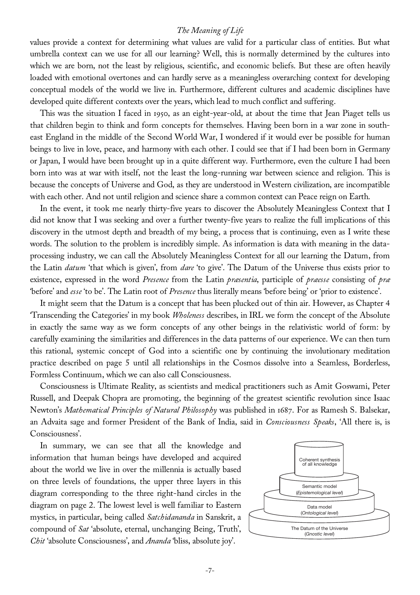values provide a context for determining what values are valid for a particular class of entities. But what umbrella context can we use for all our learning? Well, this is normally determined by the cultures into which we are born, not the least by religious, scientific, and economic beliefs. But these are often heavily loaded with emotional overtones and can hardly serve as a meaningless overarching context for developing conceptual models of the world we live in. Furthermore, different cultures and academic disciplines have developed quite different contexts over the years, which lead to much conflict and suffering.

This was the situation I faced in 1950, as an eight-year-old, at about the time that Jean Piaget tells us that children begin to think and form concepts for themselves. Having been born in a war zone in southeast England in the middle of the Second World War, I wondered if it would ever be possible for human beings to live in love, peace, and harmony with each other. I could see that if I had been born in Germany or Japan, I would have been brought up in a quite different way. Furthermore, even the culture I had been born into was at war with itself, not the least the long-running war between science and religion. This is because the concepts of Universe and God, as they are understood in Western civilization, are incompatible with each other. And not until religion and science share a common context can Peace reign on Earth.

In the event, it took me nearly thirty-five years to discover the Absolutely Meaningless Context that I did not know that I was seeking and over a further twenty-five years to realize the full implications of this discovery in the utmost depth and breadth of my being, a process that is continuing, even as I write these words. The solution to the problem is incredibly simple. As information is data with meaning in the dataprocessing industry, we can call the Absolutely Meaningless Context for all our learning the Datum, from the Latin *datum* 'that which is given', from *dare* 'to give'. The Datum of the Universe thus exists prior to existence, expressed in the word *Presence* from the Latin *præsentia*, participle of *præesse* consisting of *præ* 'before' and *esse* 'to be'. The Latin root of *Presence* thus literally means 'before being' or 'prior to existence'.

It might seem that the Datum is a concept that has been plucked out of thin air. However, as Chapter 4 'Transcending the Categories' in my book *Wholeness* describes, in IRL we form the concept of the Absolute in exactly the same way as we form concepts of any other beings in the relativistic world of form: by carefully examining the similarities and differences in the data patterns of our experience. We can then turn this rational, systemic concept of God into a scientific one by continuing the involutionary meditation practice described on page 5 until all relationships in the Cosmos dissolve into a Seamless, Borderless, Formless Continuum, which we can also call Consciousness.

Consciousness is Ultimate Reality, as scientists and medical practitioners such as Amit Goswami, Peter Russell, and Deepak Chopra are promoting, the beginning of the greatest scientific revolution since Isaac Newton's *Mathematical Principles of Natural Philosophy* was published in 1687. For as Ramesh S. Balsekar, an Advaita sage and former President of the Bank of India, said in *Consciousness Speaks*, 'All there is, is Consciousness'.

In summary, we can see that all the knowledge and information that human beings have developed and acquired about the world we live in over the millennia is actually based on three levels of foundations, the upper three layers in this diagram corresponding to the three right-hand circles in the diagram on page 2. The lowest level is well familiar to Eastern mystics, in particular, being called *Satchidananda* in Sanskrit, a compound of *Sat* 'absolute, eternal, unchanging Being, Truth', *Chit* 'absolute Consciousness', and *Ananda* 'bliss, absolute joy'.